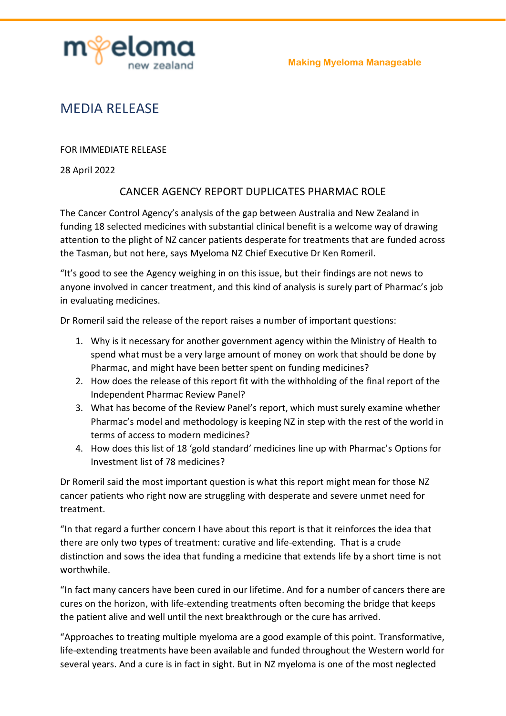

## MEDIA RELEASE

FOR IMMEDIATE RELEASE

28 April 2022

## CANCER AGENCY REPORT DUPLICATES PHARMAC ROLE

The Cancer Control Agency's analysis of the gap between Australia and New Zealand in funding 18 selected medicines with substantial clinical benefit is a welcome way of drawing attention to the plight of NZ cancer patients desperate for treatments that are funded across the Tasman, but not here, says Myeloma NZ Chief Executive Dr Ken Romeril.

"It's good to see the Agency weighing in on this issue, but their findings are not news to anyone involved in cancer treatment, and this kind of analysis is surely part of Pharmac's job in evaluating medicines.

Dr Romeril said the release of the report raises a number of important questions:

- 1. Why is it necessary for another government agency within the Ministry of Health to spend what must be a very large amount of money on work that should be done by Pharmac, and might have been better spent on funding medicines?
- 2. How does the release of this report fit with the withholding of the final report of the Independent Pharmac Review Panel?
- 3. What has become of the Review Panel's report, which must surely examine whether Pharmac's model and methodology is keeping NZ in step with the rest of the world in terms of access to modern medicines?
- 4. How does this list of 18 'gold standard' medicines line up with Pharmac's Options for Investment list of 78 medicines?

Dr Romeril said the most important question is what this report might mean for those NZ cancer patients who right now are struggling with desperate and severe unmet need for treatment.

"In that regard a further concern I have about this report is that it reinforces the idea that there are only two types of treatment: curative and life-extending. That is a crude distinction and sows the idea that funding a medicine that extends life by a short time is not worthwhile.

"In fact many cancers have been cured in our lifetime. And for a number of cancers there are cures on the horizon, with life-extending treatments often becoming the bridge that keeps the patient alive and well until the next breakthrough or the cure has arrived.

"Approaches to treating multiple myeloma are a good example of this point. Transformative, life-extending treatments have been available and funded throughout the Western world for several years. And a cure is in fact in sight. But in NZ myeloma is one of the most neglected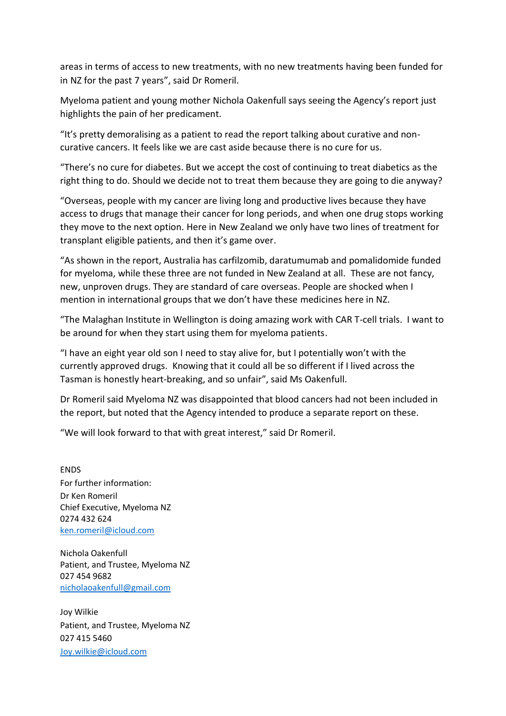areas in terms of access to new treatments, with no new treatments having been funded for in NZ for the past 7 years", said Dr Romeril.

Myeloma patient and young mother Nichola Oakenfull says seeing the Agency's report just highlights the pain of her predicament.

"It's pretty demoralising as a patient to read the report talking about curative and noncurative cancers. It feels like we are cast aside because there is no cure for us.

"There's no cure for diabetes. But we accept the cost of continuing to treat diabetics as the right thing to do. Should we decide not to treat them because they are going to die anyway?

"Overseas, people with my cancer are living long and productive lives because they have access to drugs that manage their cancer for long periods, and when one drug stops working they move to the next option. Here in New Zealand we only have two lines of treatment for transplant eligible patients, and then it's game over.

"As shown in the report, Australia has carfilzomib, daratumumab and pomalidomide funded for myeloma, while these three are not funded in New Zealand at all. These are not fancy, new, unproven drugs. They are standard of care overseas. People are shocked when I mention in international groups that we don't have these medicines here in NZ.

"The Malaghan Institute in Wellington is doing amazing work with CAR T-cell trials. I want to be around for when they start using them for myeloma patients.

"I have an eight year old son I need to stay alive for, but I potentially won't with the currently approved drugs. Knowing that it could all be so different if I lived across the Tasman is honestly heart-breaking, and so unfair", said Ms Oakenfull.

Dr Romeril said Myeloma NZ was disappointed that blood cancers had not been included in the report, but noted that the Agency intended to produce a separate report on these.

"We will look forward to that with great interest," said Dr Romeril.

ENDS For further information: Dr Ken Romeril Chief Executive, Myeloma NZ 0274 432 624 [ken.romeril@icloud.com](mailto:ken.romeril@icloud.com)

Nichola Oakenfull Patient, and Trustee, Myeloma NZ 027 454 9682 [nicholaoakenfull@gmail.com](mailto:nicholaoakenfull@gmail.com)

Joy Wilkie Patient, and Trustee, Myeloma NZ 027 415 5460 Joy.wilkie@icloud.com